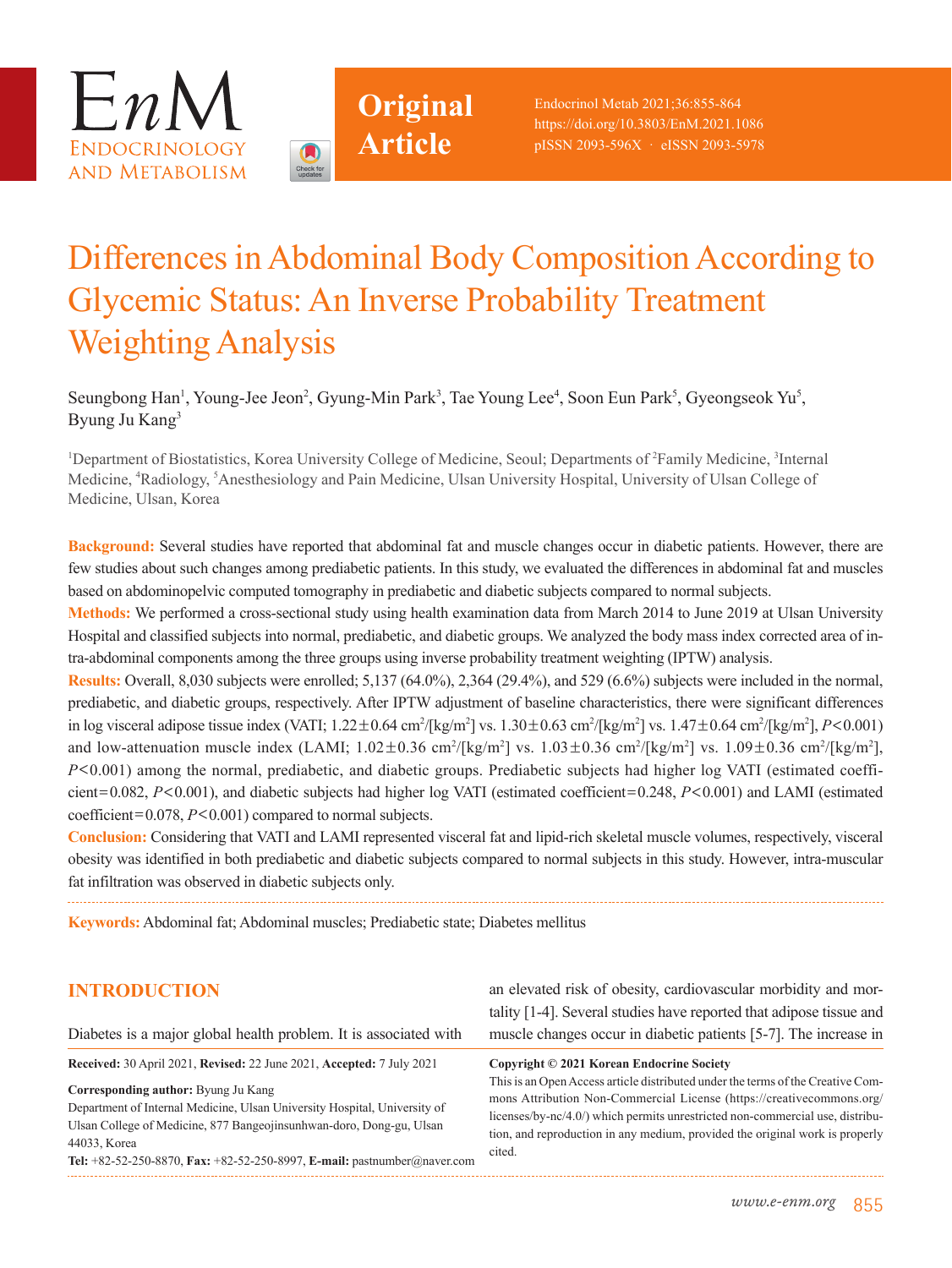



# Differences in Abdominal Body Composition According to Glycemic Status: An Inverse Probability Treatment Weighting Analysis

Seungbong Han<sup>1</sup>, Young-Jee Jeon<sup>2</sup>, Gyung-Min Park<sup>3</sup>, Tae Young Lee<sup>4</sup>, Soon Eun Park<sup>5</sup>, Gyeongseok Yu<sup>5</sup>, Byung Ju Kang3

<sup>1</sup>Department of Biostatistics, Korea University College of Medicine, Seoul; Departments of <sup>2</sup>Family Medicine, <sup>3</sup>Internal Medicine, <sup>4</sup>Radiology, <sup>5</sup>Anesthesiology and Pain Medicine, Ulsan University Hospital, University of Ulsan College of Medicine, Ulsan, Korea

**Background:** Several studies have reported that abdominal fat and muscle changes occur in diabetic patients. However, there are few studies about such changes among prediabetic patients. In this study, we evaluated the differences in abdominal fat and muscles based on abdominopelvic computed tomography in prediabetic and diabetic subjects compared to normal subjects.

**Methods:** We performed a cross-sectional study using health examination data from March 2014 to June 2019 at Ulsan University Hospital and classified subjects into normal, prediabetic, and diabetic groups. We analyzed the body mass index corrected area of intra-abdominal components among the three groups using inverse probability treatment weighting (IPTW) analysis.

**Results:** Overall, 8,030 subjects were enrolled; 5,137 (64.0%), 2,364 (29.4%), and 529 (6.6%) subjects were included in the normal, prediabetic, and diabetic groups, respectively. After IPTW adjustment of baseline characteristics, there were significant differences in log visceral adipose tissue index (VATI; 1.22±0.64 cm<sup>2</sup>/[kg/m<sup>2</sup>] vs. 1.30±0.63 cm<sup>2</sup>/[kg/m<sup>2</sup>] vs. 1.47±0.64 cm<sup>2</sup>/[kg/m<sup>2</sup>], *P*<0.001) and low-attenuation muscle index (LAMI;  $1.02 \pm 0.36$  cm<sup>2</sup>/[kg/m<sup>2</sup>] vs.  $1.03 \pm 0.36$  cm<sup>2</sup>/[kg/m<sup>2</sup>] vs.  $1.09 \pm 0.36$  cm<sup>2</sup>/[kg/m<sup>2</sup>], *P*<0.001) among the normal, prediabetic, and diabetic groups. Prediabetic subjects had higher log VATI (estimated coefficient=0.082, *P*<0.001), and diabetic subjects had higher log VATI (estimated coefficient=0.248, *P*<0.001) and LAMI (estimated coefficient=0.078, *P*<0.001) compared to normal subjects.

**Conclusion:** Considering that VATI and LAMI represented visceral fat and lipid-rich skeletal muscle volumes, respectively, visceral obesity was identified in both prediabetic and diabetic subjects compared to normal subjects in this study. However, intra-muscular fat infiltration was observed in diabetic subjects only.

**Keywords:** Abdominal fat; Abdominal muscles; Prediabetic state; Diabetes mellitus

## **INTRODUCTION**

an elevated risk of obesity, cardiovascular morbidity and mor-

**Received:** 30 April 2021, **Revised:** 22 June 2021, **Accepted:** 7 July 2021

Diabetes is a major global health problem. It is associated with

**Corresponding author:** Byung Ju Kang

Department of Internal Medicine, Ulsan University Hospital, University of Ulsan College of Medicine, 877 Bangeojinsunhwan-doro, Dong-gu, Ulsan 44033, Korea **Tel:** +82-52-250-8870, **Fax:** +82-52-250-8997, **E-mail:** pastnumber@naver.com tality [1-4]. Several studies have reported that adipose tissue and muscle changes occur in diabetic patients [5-7]. The increase in

This is an Open Access article distributed under the terms of the Creative Commons Attribution Non-Commercial License (https://creativecommons.org/ licenses/by-nc/4.0/) which permits unrestricted non-commercial use, distribution, and reproduction in any medium, provided the original work is properly cited.

**Copyright © 2021 Korean Endocrine Society**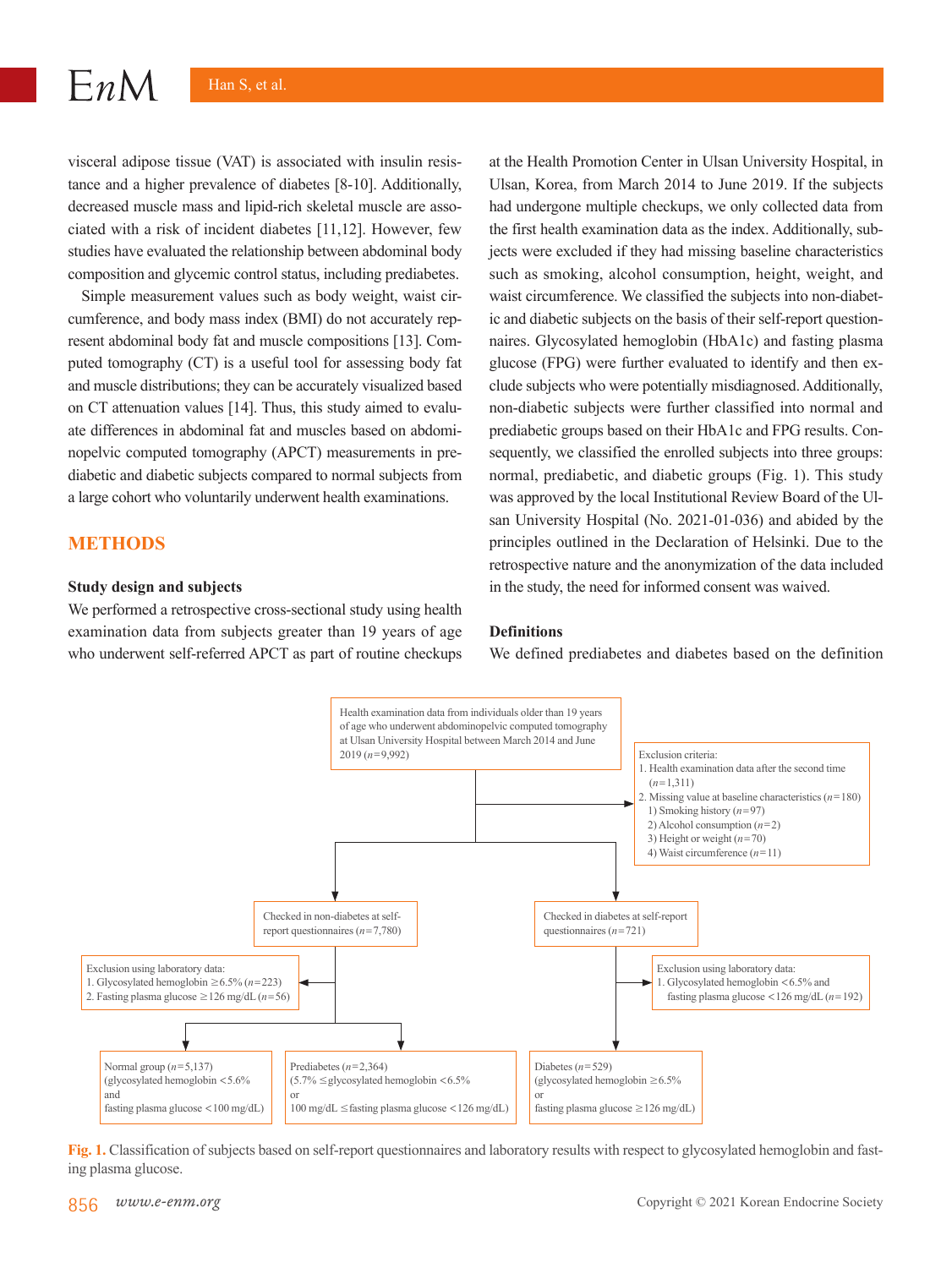visceral adipose tissue (VAT) is associated with insulin resistance and a higher prevalence of diabetes [8-10]. Additionally, decreased muscle mass and lipid-rich skeletal muscle are associated with a risk of incident diabetes [11,12]. However, few studies have evaluated the relationship between abdominal body composition and glycemic control status, including prediabetes.

Simple measurement values such as body weight, waist circumference, and body mass index (BMI) do not accurately represent abdominal body fat and muscle compositions [13]. Computed tomography (CT) is a useful tool for assessing body fat and muscle distributions; they can be accurately visualized based on CT attenuation values [14]. Thus, this study aimed to evaluate differences in abdominal fat and muscles based on abdominopelvic computed tomography (APCT) measurements in prediabetic and diabetic subjects compared to normal subjects from a large cohort who voluntarily underwent health examinations.

## **METHODS**

 $EnM$ 

#### **Study design and subjects**

We performed a retrospective cross-sectional study using health examination data from subjects greater than 19 years of age who underwent self-referred APCT as part of routine checkups at the Health Promotion Center in Ulsan University Hospital, in Ulsan, Korea, from March 2014 to June 2019. If the subjects had undergone multiple checkups, we only collected data from the first health examination data as the index. Additionally, subjects were excluded if they had missing baseline characteristics such as smoking, alcohol consumption, height, weight, and waist circumference. We classified the subjects into non-diabetic and diabetic subjects on the basis of their self-report questionnaires. Glycosylated hemoglobin (HbA1c) and fasting plasma glucose (FPG) were further evaluated to identify and then exclude subjects who were potentially misdiagnosed. Additionally, non-diabetic subjects were further classified into normal and prediabetic groups based on their HbA1c and FPG results. Consequently, we classified the enrolled subjects into three groups: normal, prediabetic, and diabetic groups (Fig. 1). This study was approved by the local Institutional Review Board of the Ulsan University Hospital (No. 2021-01-036) and abided by the principles outlined in the Declaration of Helsinki. Due to the retrospective nature and the anonymization of the data included in the study, the need for informed consent was waived.

#### **Definitions**

We defined prediabetes and diabetes based on the definition



**Fig. 1.** Classification of subjects based on self-report questionnaires and laboratory results with respect to glycosylated hemoglobin and fasting plasma glucose.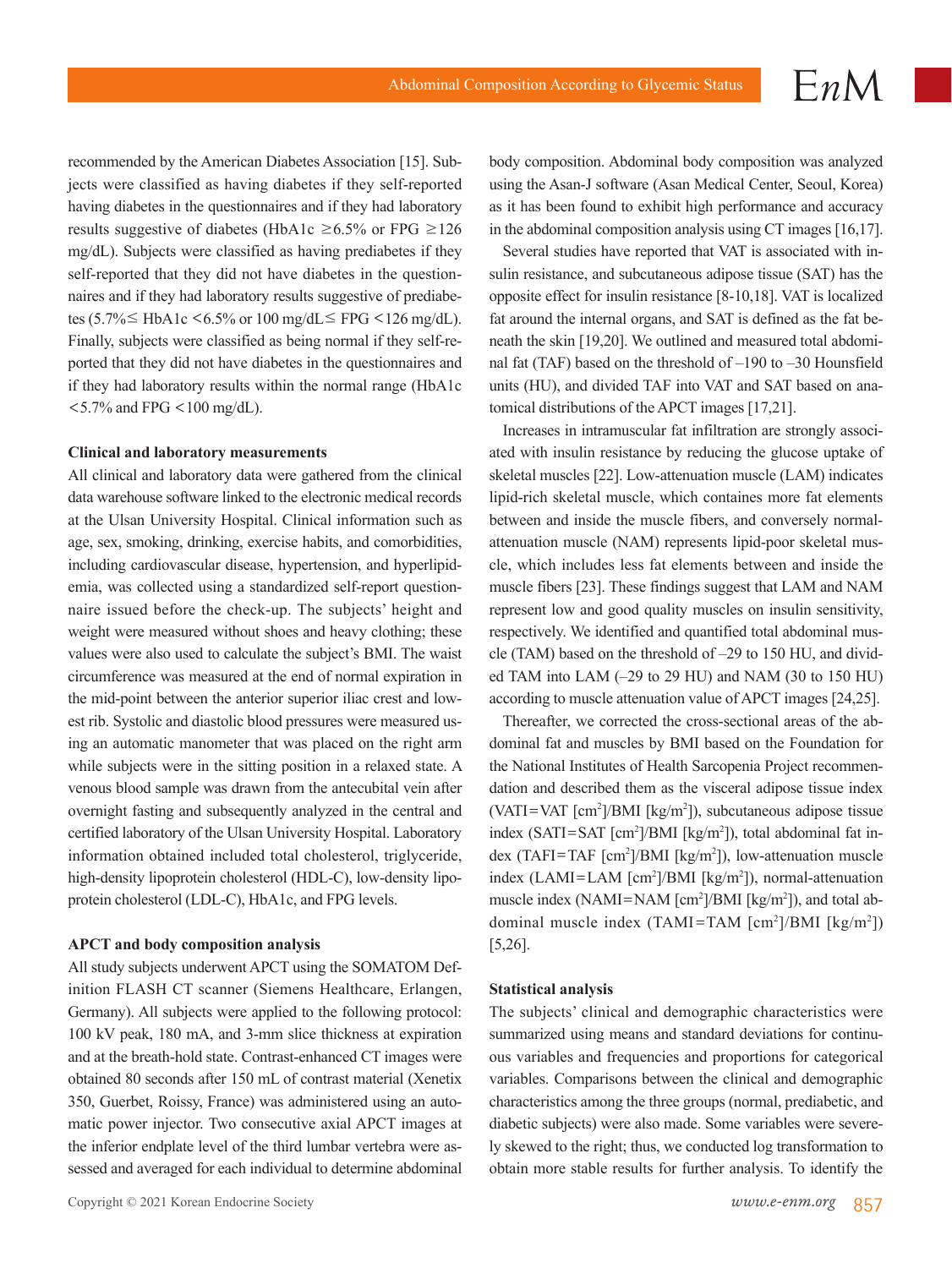recommended by the American Diabetes Association [15]. Subjects were classified as having diabetes if they self-reported having diabetes in the questionnaires and if they had laboratory results suggestive of diabetes (HbA1c  $\geq 6.5\%$  or FPG  $\geq 126$ mg/dL). Subjects were classified as having prediabetes if they self-reported that they did not have diabetes in the questionnaires and if they had laboratory results suggestive of prediabetes (5.7%  $\leq$  HbA1c <6.5% or 100 mg/dL $\leq$  FPG <126 mg/dL). Finally, subjects were classified as being normal if they self-reported that they did not have diabetes in the questionnaires and if they had laboratory results within the normal range (HbA1c  $<$  5.7% and FPG  $<$  100 mg/dL).

#### **Clinical and laboratory measurements**

All clinical and laboratory data were gathered from the clinical data warehouse software linked to the electronic medical records at the Ulsan University Hospital. Clinical information such as age, sex, smoking, drinking, exercise habits, and comorbidities, including cardiovascular disease, hypertension, and hyperlipidemia, was collected using a standardized self-report questionnaire issued before the check-up. The subjects' height and weight were measured without shoes and heavy clothing; these values were also used to calculate the subject's BMI. The waist circumference was measured at the end of normal expiration in the mid-point between the anterior superior iliac crest and lowest rib. Systolic and diastolic blood pressures were measured using an automatic manometer that was placed on the right arm while subjects were in the sitting position in a relaxed state. A venous blood sample was drawn from the antecubital vein after overnight fasting and subsequently analyzed in the central and certified laboratory of the Ulsan University Hospital. Laboratory information obtained included total cholesterol, triglyceride, high-density lipoprotein cholesterol (HDL-C), low-density lipoprotein cholesterol (LDL-C), HbA1c, and FPG levels.

#### **APCT and body composition analysis**

All study subjects underwent APCT using the SOMATOM Definition FLASH CT scanner (Siemens Healthcare, Erlangen, Germany). All subjects were applied to the following protocol: 100 kV peak, 180 mA, and 3-mm slice thickness at expiration and at the breath-hold state. Contrast-enhanced CT images were obtained 80 seconds after 150 mL of contrast material (Xenetix 350, Guerbet, Roissy, France) was administered using an automatic power injector. Two consecutive axial APCT images at the inferior endplate level of the third lumbar vertebra were assessed and averaged for each individual to determine abdominal body composition. Abdominal body composition was analyzed using the Asan-J software (Asan Medical Center, Seoul, Korea) as it has been found to exhibit high performance and accuracy in the abdominal composition analysis using CT images [16,17].

Several studies have reported that VAT is associated with insulin resistance, and subcutaneous adipose tissue (SAT) has the opposite effect for insulin resistance [8-10,18]. VAT is localized fat around the internal organs, and SAT is defined as the fat beneath the skin [19,20]. We outlined and measured total abdominal fat (TAF) based on the threshold of –190 to –30 Hounsfield units (HU), and divided TAF into VAT and SAT based on anatomical distributions of the APCT images [17,21].

Increases in intramuscular fat infiltration are strongly associated with insulin resistance by reducing the glucose uptake of skeletal muscles [22]. Low-attenuation muscle (LAM) indicates lipid-rich skeletal muscle, which containes more fat elements between and inside the muscle fibers, and conversely normalattenuation muscle (NAM) represents lipid-poor skeletal muscle, which includes less fat elements between and inside the muscle fibers [23]. These findings suggest that LAM and NAM represent low and good quality muscles on insulin sensitivity, respectively. We identified and quantified total abdominal muscle (TAM) based on the threshold of –29 to 150 HU, and divided TAM into LAM (–29 to 29 HU) and NAM (30 to 150 HU) according to muscle attenuation value of APCT images [24,25].

Thereafter, we corrected the cross-sectional areas of the abdominal fat and muscles by BMI based on the Foundation for the National Institutes of Health Sarcopenia Project recommendation and described them as the visceral adipose tissue index  $(VATI=VAT [cm<sup>2</sup>]/BMI [kg/m<sup>2</sup>])$ , subcutaneous adipose tissue index (SATI=SAT [cm<sup>2</sup>]/BMI [kg/m<sup>2</sup>]), total abdominal fat index (TAFI=TAF  $[cm^2]/BMI$   $[kg/m^2]$ ), low-attenuation muscle index (LAMI=LAM [cm<sup>2</sup>]/BMI [kg/m<sup>2</sup>]), normal-attenuation muscle index (NAMI=NAM  $[cm^2]/BMI$   $[kg/m^2]$ ), and total abdominal muscle index  $(TAMI = TAM [cm<sup>2</sup>]/BMI [kg/m<sup>2</sup>])$ [5,26].

#### **Statistical analysis**

The subjects' clinical and demographic characteristics were summarized using means and standard deviations for continuous variables and frequencies and proportions for categorical variables. Comparisons between the clinical and demographic characteristics among the three groups (normal, prediabetic, and diabetic subjects) were also made. Some variables were severely skewed to the right; thus, we conducted log transformation to obtain more stable results for further analysis. To identify the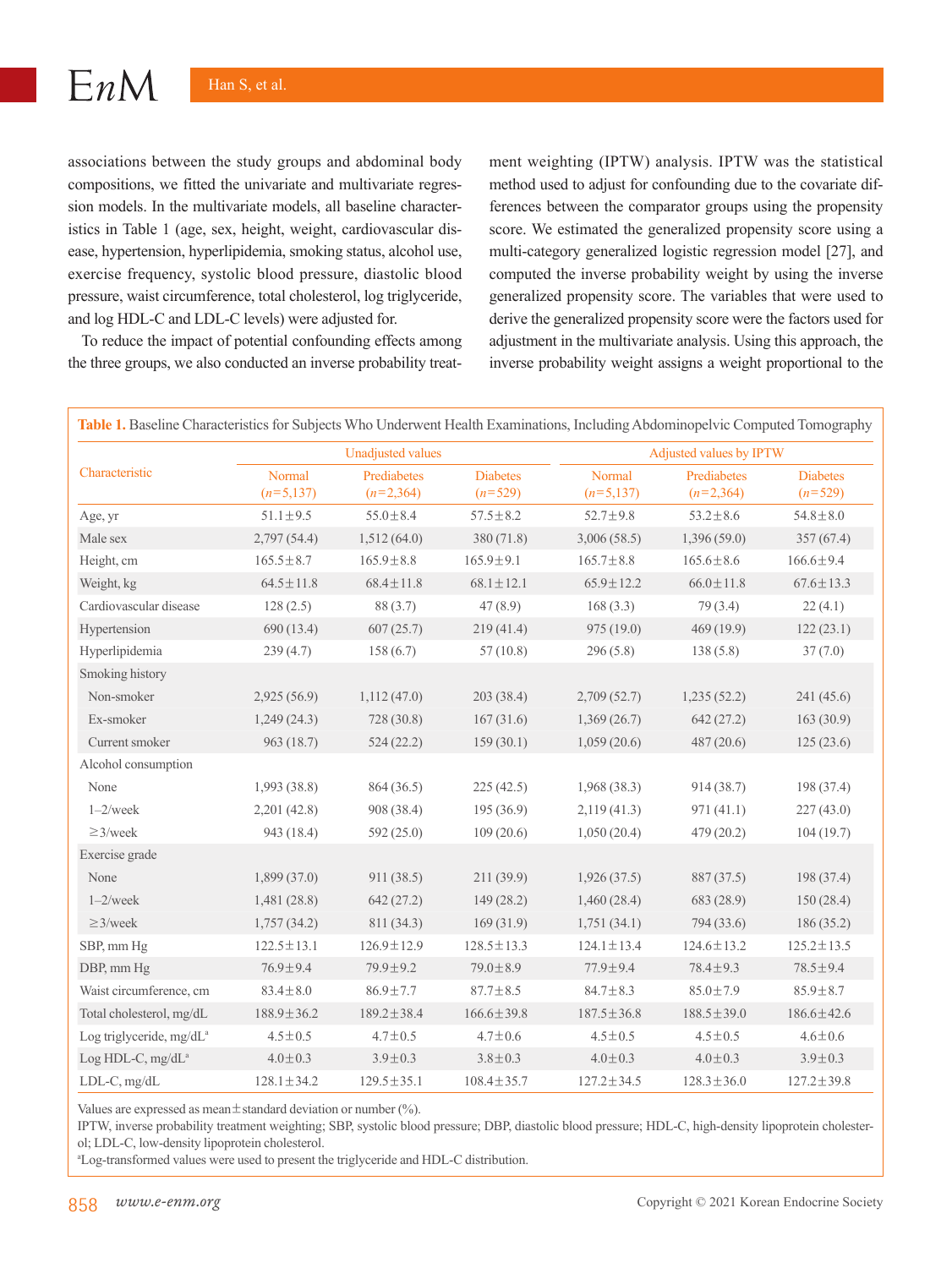$EnM$ 

associations between the study groups and abdominal body compositions, we fitted the univariate and multivariate regression models. In the multivariate models, all baseline characteristics in Table 1 (age, sex, height, weight, cardiovascular disease, hypertension, hyperlipidemia, smoking status, alcohol use, exercise frequency, systolic blood pressure, diastolic blood pressure, waist circumference, total cholesterol, log triglyceride, and log HDL-C and LDL-C levels) were adjusted for.

To reduce the impact of potential confounding effects among the three groups, we also conducted an inverse probability treatment weighting (IPTW) analysis. IPTW was the statistical method used to adjust for confounding due to the covariate differences between the comparator groups using the propensity score. We estimated the generalized propensity score using a multi-category generalized logistic regression model [27], and computed the inverse probability weight by using the inverse generalized propensity score. The variables that were used to derive the generalized propensity score were the factors used for adjustment in the multivariate analysis. Using this approach, the inverse probability weight assigns a weight proportional to the

|                                      | <b>Unadjusted values</b> |                            |                              | Adjusted values by IPTW |                            |                              |  |
|--------------------------------------|--------------------------|----------------------------|------------------------------|-------------------------|----------------------------|------------------------------|--|
| Characteristic                       | Normal<br>$(n=5,137)$    | Prediabetes<br>$(n=2,364)$ | <b>Diabetes</b><br>$(n=529)$ | Normal<br>$(n=5,137)$   | Prediabetes<br>$(n=2,364)$ | <b>Diabetes</b><br>$(n=529)$ |  |
| Age, yr                              | $51.1 \pm 9.5$           | $55.0 \pm 8.4$             | $57.5 \pm 8.2$               | $52.7 \pm 9.8$          | $53.2 \pm 8.6$             | $54.8 \pm 8.0$               |  |
| Male sex                             | 2,797(54.4)              | 1,512(64.0)                | 380 (71.8)                   | 3,006(58.5)             | 1,396(59.0)                | 357(67.4)                    |  |
| Height, cm                           | $165.5 \pm 8.7$          | $165.9 \pm 8.8$            | $165.9 \pm 9.1$              | $165.7 \pm 8.8$         | $165.6 \pm 8.6$            | $166.6 \pm 9.4$              |  |
| Weight, kg                           | $64.5 \pm 11.8$          | $68.4 \pm 11.8$            | $68.1 \pm 12.1$              | $65.9 \pm 12.2$         | $66.0 \pm 11.8$            | $67.6 \pm 13.3$              |  |
| Cardiovascular disease               | 128(2.5)                 | 88 (3.7)                   | 47(8.9)                      | 168(3.3)                | 79(3.4)                    | 22(4.1)                      |  |
| Hypertension                         | 690 (13.4)               | 607(25.7)                  | 219(41.4)                    | 975 (19.0)              | 469 (19.9)                 | 122(23.1)                    |  |
| Hyperlipidemia                       | 239(4.7)                 | 158(6.7)                   | 57(10.8)                     | 296(5.8)                | 138(5.8)                   | 37(7.0)                      |  |
| Smoking history                      |                          |                            |                              |                         |                            |                              |  |
| Non-smoker                           | 2,925(56.9)              | 1,112(47.0)                | 203 (38.4)                   | 2,709(52.7)             | 1,235(52.2)                | 241(45.6)                    |  |
| Ex-smoker                            | 1,249(24.3)              | 728(30.8)                  | 167(31.6)                    | 1,369(26.7)             | 642(27.2)                  | 163(30.9)                    |  |
| Current smoker                       | 963 (18.7)               | 524(22.2)                  | 159(30.1)                    | 1,059(20.6)             | 487 (20.6)                 | 125(23.6)                    |  |
| Alcohol consumption                  |                          |                            |                              |                         |                            |                              |  |
| None                                 | 1,993 (38.8)             | 864 (36.5)                 | 225(42.5)                    | 1,968(38.3)             | 914(38.7)                  | 198 (37.4)                   |  |
| $1 - 2$ /week                        | 2,201(42.8)              | 908 (38.4)                 | 195(36.9)                    | 2,119(41.3)             | 971(41.1)                  | 227(43.0)                    |  |
| $\geq$ 3/week                        | 943 (18.4)               | 592 (25.0)                 | 109(20.6)                    | 1,050(20.4)             | 479 (20.2)                 | 104(19.7)                    |  |
| Exercise grade                       |                          |                            |                              |                         |                            |                              |  |
| None                                 | 1,899(37.0)              | 911(38.5)                  | 211(39.9)                    | 1,926(37.5)             | 887 (37.5)                 | 198(37.4)                    |  |
| $1 - 2$ /week                        | 1,481(28.8)              | 642(27.2)                  | 149(28.2)                    | 1,460(28.4)             | 683 (28.9)                 | 150(28.4)                    |  |
| $\geq$ 3/week                        | 1,757(34.2)              | 811 (34.3)                 | 169(31.9)                    | 1,751(34.1)             | 794 (33.6)                 | 186(35.2)                    |  |
| SBP, mm Hg                           | $122.5 \pm 13.1$         | $126.9 \pm 12.9$           | $128.5 \pm 13.3$             | $124.1 \pm 13.4$        | $124.6 \pm 13.2$           | $125.2 \pm 13.5$             |  |
| DBP, mm Hg                           | $76.9 \pm 9.4$           | 79.9±9.2                   | $79.0 \pm 8.9$               | 77.9±9.4                | $78.4 \pm 9.3$             | $78.5 \pm 9.4$               |  |
| Waist circumference, cm              | $83.4 \pm 8.0$           | $86.9 \pm 7.7$             | $87.7 \pm 8.5$               | $84.7 \pm 8.3$          | $85.0 \pm 7.9$             | $85.9 \pm 8.7$               |  |
| Total cholesterol, mg/dL             | $188.9 \pm 36.2$         | $189.2 \pm 38.4$           | $166.6 \pm 39.8$             | $187.5 \pm 36.8$        | $188.5 \pm 39.0$           | $186.6 \pm 42.6$             |  |
| Log triglyceride, mg/dL <sup>a</sup> | $4.5 \pm 0.5$            | $4.7 \pm 0.5$              | $4.7 \pm 0.6$                | $4.5 \pm 0.5$           | $4.5 \pm 0.5$              | $4.6 \pm 0.6$                |  |
| Log HDL-C, mg/dL <sup>a</sup>        | $4.0 \pm 0.3$            | $3.9 \pm 0.3$              | $3.8 \pm 0.3$                | $4.0 \pm 0.3$           | $4.0 \pm 0.3$              | $3.9 \pm 0.3$                |  |
| LDL-C, mg/dL                         | $128.1 \pm 34.2$         | $129.5 \pm 35.1$           | $108.4 \pm 35.7$             | $127.2 \pm 34.5$        | $128.3 \pm 36.0$           | $127.2 \pm 39.8$             |  |

Values are expressed as mean $\pm$ standard deviation or number (%).

IPTW, inverse probability treatment weighting; SBP, systolic blood pressure; DBP, diastolic blood pressure; HDL-C, high-density lipoprotein cholesterol; LDL-C, low-density lipoprotein cholesterol.

a Log-transformed values were used to present the triglyceride and HDL-C distribution.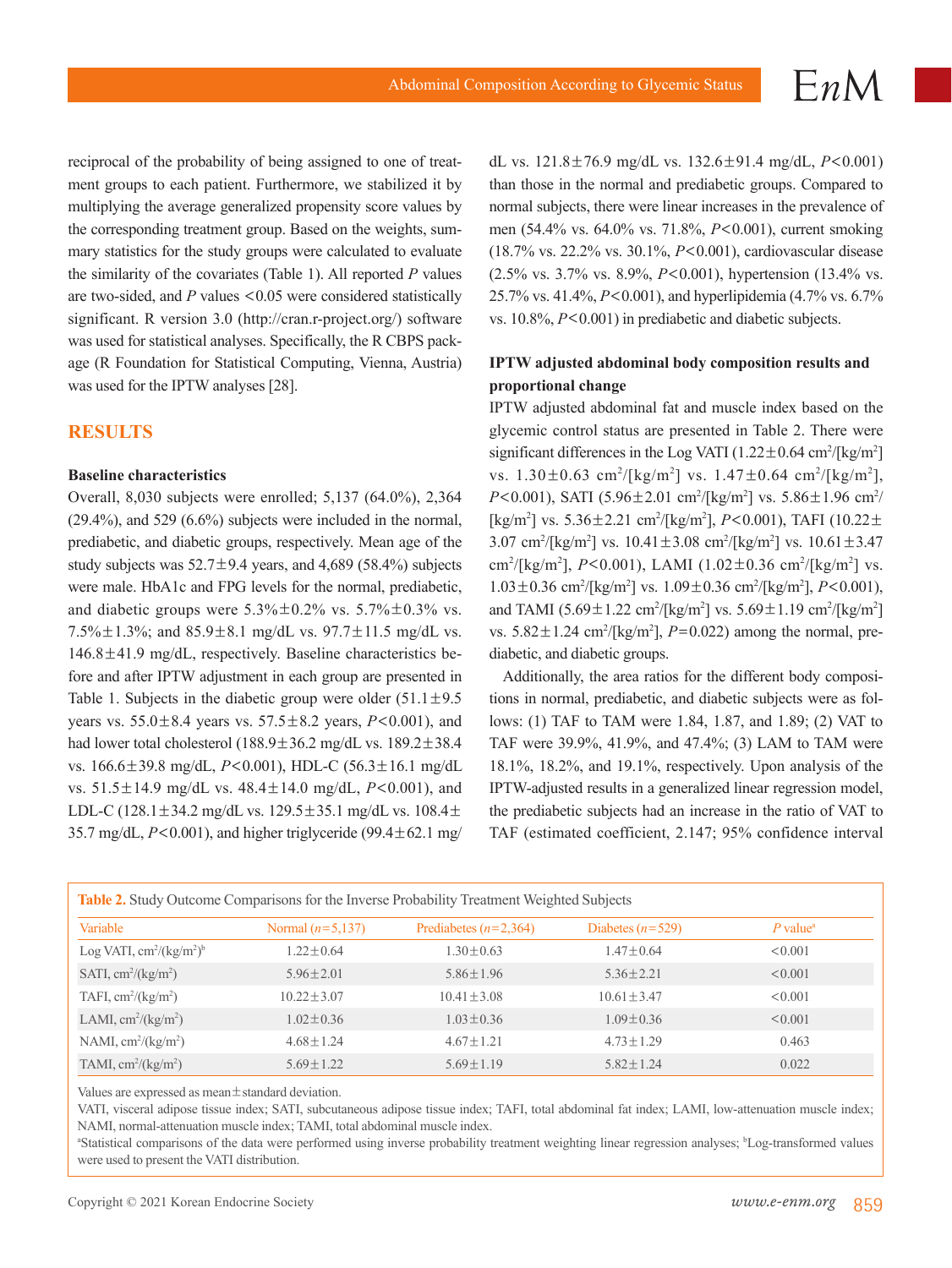reciprocal of the probability of being assigned to one of treatment groups to each patient. Furthermore, we stabilized it by multiplying the average generalized propensity score values by the corresponding treatment group. Based on the weights, summary statistics for the study groups were calculated to evaluate the similarity of the covariates (Table 1). All reported *P* values are two-sided, and *P* values <0.05 were considered statistically significant. R version 3.0 (http://cran.r-project.org/) software was used for statistical analyses. Specifically, the R CBPS package (R Foundation for Statistical Computing, Vienna, Austria) was used for the IPTW analyses [28].

## **RESULTS**

#### **Baseline characteristics**

Overall, 8,030 subjects were enrolled; 5,137 (64.0%), 2,364 (29.4%), and 529 (6.6%) subjects were included in the normal, prediabetic, and diabetic groups, respectively. Mean age of the study subjects was  $52.7 \pm 9.4$  years, and 4,689 (58.4%) subjects were male. HbA1c and FPG levels for the normal, prediabetic, and diabetic groups were  $5.3\% \pm 0.2\%$  vs.  $5.7\% \pm 0.3\%$  vs. 7.5% $\pm$ 1.3%; and 85.9 $\pm$ 8.1 mg/dL vs. 97.7 $\pm$ 11.5 mg/dL vs. 146.8±41.9 mg/dL, respectively. Baseline characteristics before and after IPTW adjustment in each group are presented in Table 1. Subjects in the diabetic group were older  $(51.1 \pm 9.5)$ years vs. 55.0±8.4 years vs. 57.5±8.2 years, *P*<0.001), and had lower total cholesterol (188.9±36.2 mg/dL vs. 189.2±38.4 vs. 166.6±39.8 mg/dL, *P*<0.001), HDL-C (56.3±16.1 mg/dL vs. 51.5±14.9 mg/dL vs. 48.4±14.0 mg/dL, *P*<0.001), and LDL-C (128.1±34.2 mg/dL vs. 129.5±35.1 mg/dL vs. 108.4± 35.7 mg/dL,  $P < 0.001$ ), and higher triglyceride (99.4 $\pm$ 62.1 mg/ dL vs. 121.8±76.9 mg/dL vs. 132.6±91.4 mg/dL, *P*<0.001) than those in the normal and prediabetic groups. Compared to normal subjects, there were linear increases in the prevalence of men (54.4% vs. 64.0% vs. 71.8%, *P*<0.001), current smoking (18.7% vs. 22.2% vs. 30.1%, *P*<0.001), cardiovascular disease (2.5% vs. 3.7% vs. 8.9%, *P*<0.001), hypertension (13.4% vs. 25.7% vs. 41.4%, *P*<0.001), and hyperlipidemia (4.7% vs. 6.7% vs. 10.8%, *P*<0.001) in prediabetic and diabetic subjects.

### **IPTW adjusted abdominal body composition results and proportional change**

IPTW adjusted abdominal fat and muscle index based on the glycemic control status are presented in Table 2. There were significant differences in the Log VATI  $(1.22 \pm 0.64 \text{ cm}^2/[\text{kg/m}^2])$ vs.  $1.30 \pm 0.63$  cm<sup>2</sup>/[kg/m<sup>2</sup>] vs.  $1.47 \pm 0.64$  cm<sup>2</sup>/[kg/m<sup>2</sup>], *P*<0.001), SATI (5.96 $\pm$ 2.01 cm<sup>2</sup>/[kg/m<sup>2</sup>] vs. 5.86 $\pm$ 1.96 cm<sup>2</sup>/ [kg/m<sup>2</sup>] vs. 5.36±2.21 cm<sup>2</sup>/[kg/m<sup>2</sup>], *P*<0.001), TAFI (10.22± 3.07 cm<sup>2</sup>/[kg/m<sup>2</sup>] vs. 10.41±3.08 cm<sup>2</sup>/[kg/m<sup>2</sup>] vs. 10.61±3.47 cm<sup>2</sup>/[kg/m<sup>2</sup>], *P*<0.001), LAMI (1.02±0.36 cm<sup>2</sup>/[kg/m<sup>2</sup>] vs.  $1.03 \pm 0.36$  cm<sup>2</sup>/[kg/m<sup>2</sup>] vs.  $1.09 \pm 0.36$  cm<sup>2</sup>/[kg/m<sup>2</sup>], *P*<0.001), and TAMI  $(5.69 \pm 1.22 \text{ cm}^2/\text{[kg/m}^2) \text{ vs. } 5.69 \pm 1.19 \text{ cm}^2/\text{[kg/m}^2]$ vs.  $5.82 \pm 1.24$  cm<sup>2</sup>/[kg/m<sup>2</sup>], *P*=0.022) among the normal, prediabetic, and diabetic groups.

Additionally, the area ratios for the different body compositions in normal, prediabetic, and diabetic subjects were as follows: (1) TAF to TAM were 1.84, 1.87, and 1.89; (2) VAT to TAF were 39.9%, 41.9%, and 47.4%; (3) LAM to TAM were 18.1%, 18.2%, and 19.1%, respectively. Upon analysis of the IPTW-adjusted results in a generalized linear regression model, the prediabetic subjects had an increase in the ratio of VAT to TAF (estimated coefficient, 2.147; 95% confidence interval

| Variable                                         | Normal $(n=5,137)$ | Prediabetes $(n=2,364)$ | Diabetes $(n=529)$ | $P$ value <sup><math>a</math></sup> |
|--------------------------------------------------|--------------------|-------------------------|--------------------|-------------------------------------|
| Log VATI, $\text{cm}^2/(\text{kg}/\text{m}^2)^b$ | $1.22 \pm 0.64$    | $1.30 \pm 0.63$         | $1.47 \pm 0.64$    | < 0.001                             |
| SATI, $\text{cm}^2/\text{(kg/m}^2)$              | $5.96 \pm 2.01$    | $5.86 \pm 1.96$         | $5.36 \pm 2.21$    | < 0.001                             |
| TAFI, $\text{cm}^2/\text{(kg/m}^2)$              | $10.22 \pm 3.07$   | $10.41 \pm 3.08$        | $10.61 \pm 3.47$   | < 0.001                             |
| LAMI, $\text{cm}^2/\text{(kg/m}^2)$              | $1.02 \pm 0.36$    | $1.03 \pm 0.36$         | $1.09 \pm 0.36$    | < 0.001                             |
| NAMI, $\text{cm}^2/\text{(kg/m}^2)$              | $4.68 \pm 1.24$    | $4.67 \pm 1.21$         | $4.73 \pm 1.29$    | 0.463                               |
| TAMI, $\text{cm}^2/\text{(kg/m}^2)$              | $5.69 \pm 1.22$    | $5.69 \pm 1.19$         | $5.82 \pm 1.24$    | 0.022                               |

Values are expressed as mean±standard deviation.

VATI, visceral adipose tissue index; SATI, subcutaneous adipose tissue index; TAFI, total abdominal fat index; LAMI, low-attenuation muscle index; NAMI, normal-attenuation muscle index; TAMI, total abdominal muscle index.

<sup>a</sup>Statistical comparisons of the data were performed using inverse probability treatment weighting linear regression analyses; <sup>b</sup>Log-transformed values were used to present the VATI distribution.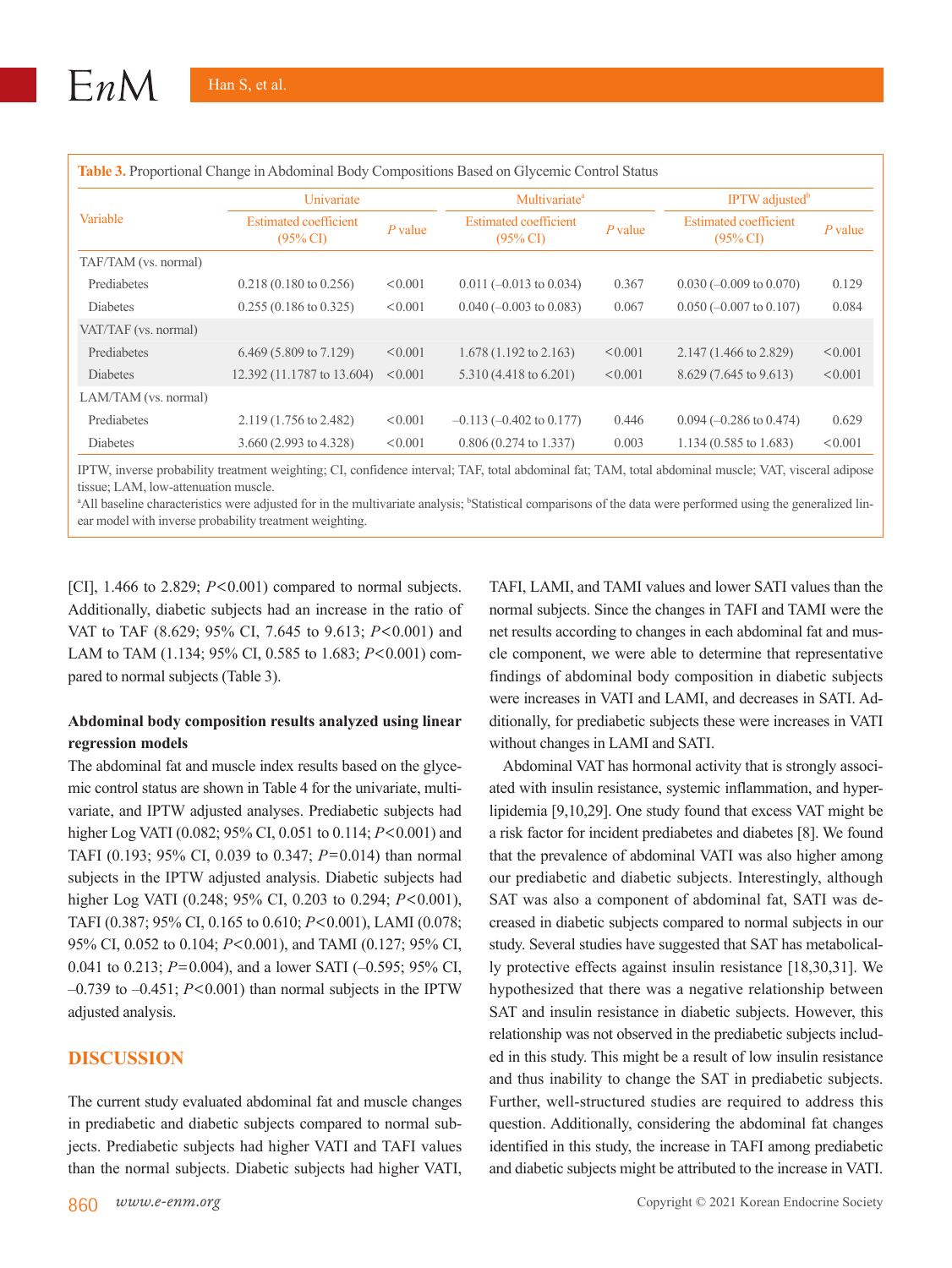| Variable             | Univariate                                          |           | Multivariate <sup>a</sup>                           |           | <b>IPTW</b> adjusted <sup>b</sup>                   |           |
|----------------------|-----------------------------------------------------|-----------|-----------------------------------------------------|-----------|-----------------------------------------------------|-----------|
|                      | <b>Estimated coefficient</b><br>$(95\% \text{ CI})$ | $P$ value | <b>Estimated coefficient</b><br>$(95\% \text{ CI})$ | $P$ value | <b>Estimated coefficient</b><br>$(95\% \text{ CI})$ | $P$ value |
| TAF/TAM (vs. normal) |                                                     |           |                                                     |           |                                                     |           |
| Prediabetes          | $0.218(0.180 \text{ to } 0.256)$                    | < 0.001   | $0.011 (-0.013$ to $0.034)$                         | 0.367     | $0.030 (-0.009 \text{ to } 0.070)$                  | 0.129     |
| Diabetes             | $0.255(0.186 \text{ to } 0.325)$                    | < 0.001   | $0.040 (-0.003 \text{ to } 0.083)$                  | 0.067     | $0.050$ (-0.007 to 0.107)                           | 0.084     |
| VAT/TAF (vs. normal) |                                                     |           |                                                     |           |                                                     |           |
| Prediabetes          | 6.469 (5.809 to 7.129)                              | < 0.001   | $1.678(1.192 \text{ to } 2.163)$                    | < 0.001   | $2.147(1.466 \text{ to } 2.829)$                    | < 0.001   |
| <b>Diabetes</b>      | 12.392 (11.1787 to 13.604)                          | < 0.001   | 5.310 (4.418 to 6.201)                              | < 0.001   | $8.629(7.645 \text{ to } 9.613)$                    | < 0.001   |
| LAM/TAM (vs. normal) |                                                     |           |                                                     |           |                                                     |           |
| Prediabetes          | 2.119 (1.756 to 2.482)                              | < 0.001   | $-0.113$ $(-0.402$ to $0.177)$                      | 0.446     | $0.094 (-0.286 \text{ to } 0.474)$                  | 0.629     |
| <b>Diabetes</b>      | 3.660 (2.993 to 4.328)                              | < 0.001   | $0.806(0.274 \text{ to } 1.337)$                    | 0.003     | $1.134(0.585 \text{ to } 1.683)$                    | < 0.001   |

**Table 3.** Proportional Change in Abdominal Body Compositions Based on Glycemic Control Status

IPTW, inverse probability treatment weighting; CI, confidence interval; TAF, total abdominal fat; TAM, total abdominal muscle; VAT, visceral adipose tissue; LAM, low-attenuation muscle.

<sup>a</sup>All baseline characteristics were adjusted for in the multivariate analysis; <sup>b</sup>Statistical comparisons of the data were performed using the generalized linear model with inverse probability treatment weighting.

[CI],  $1.466$  to  $2.829$ ;  $P<0.001$ ) compared to normal subjects. Additionally, diabetic subjects had an increase in the ratio of VAT to TAF (8.629; 95% CI, 7.645 to 9.613; *P*<0.001) and LAM to TAM (1.134; 95% CI, 0.585 to 1.683; *P*<0.001) compared to normal subjects (Table 3).

#### **Abdominal body composition results analyzed using linear regression models**

The abdominal fat and muscle index results based on the glycemic control status are shown in Table 4 for the univariate, multivariate, and IPTW adjusted analyses. Prediabetic subjects had higher Log VATI (0.082; 95% CI, 0.051 to 0.114; *P*<0.001) and TAFI (0.193; 95% CI, 0.039 to 0.347; *P*=0.014) than normal subjects in the IPTW adjusted analysis. Diabetic subjects had higher Log VATI (0.248; 95% CI, 0.203 to 0.294; *P*<0.001), TAFI (0.387; 95% CI, 0.165 to 0.610; *P*<0.001), LAMI (0.078; 95% CI, 0.052 to 0.104; *P*<0.001), and TAMI (0.127; 95% CI, 0.041 to 0.213; *P*=0.004), and a lower SATI (–0.595; 95% CI,  $-0.739$  to  $-0.451$ ;  $P < 0.001$ ) than normal subjects in the IPTW adjusted analysis.

#### **DISCUSSION**

The current study evaluated abdominal fat and muscle changes in prediabetic and diabetic subjects compared to normal subjects. Prediabetic subjects had higher VATI and TAFI values than the normal subjects. Diabetic subjects had higher VATI,

TAFI, LAMI, and TAMI values and lower SATI values than the normal subjects. Since the changes in TAFI and TAMI were the net results according to changes in each abdominal fat and muscle component, we were able to determine that representative findings of abdominal body composition in diabetic subjects were increases in VATI and LAMI, and decreases in SATI. Additionally, for prediabetic subjects these were increases in VATI without changes in LAMI and SATI.

Abdominal VAT has hormonal activity that is strongly associated with insulin resistance, systemic inflammation, and hyperlipidemia [9,10,29]. One study found that excess VAT might be a risk factor for incident prediabetes and diabetes [8]. We found that the prevalence of abdominal VATI was also higher among our prediabetic and diabetic subjects. Interestingly, although SAT was also a component of abdominal fat, SATI was decreased in diabetic subjects compared to normal subjects in our study. Several studies have suggested that SAT has metabolically protective effects against insulin resistance [18,30,31]. We hypothesized that there was a negative relationship between SAT and insulin resistance in diabetic subjects. However, this relationship was not observed in the prediabetic subjects included in this study. This might be a result of low insulin resistance and thus inability to change the SAT in prediabetic subjects. Further, well-structured studies are required to address this question. Additionally, considering the abdominal fat changes identified in this study, the increase in TAFI among prediabetic and diabetic subjects might be attributed to the increase in VATI.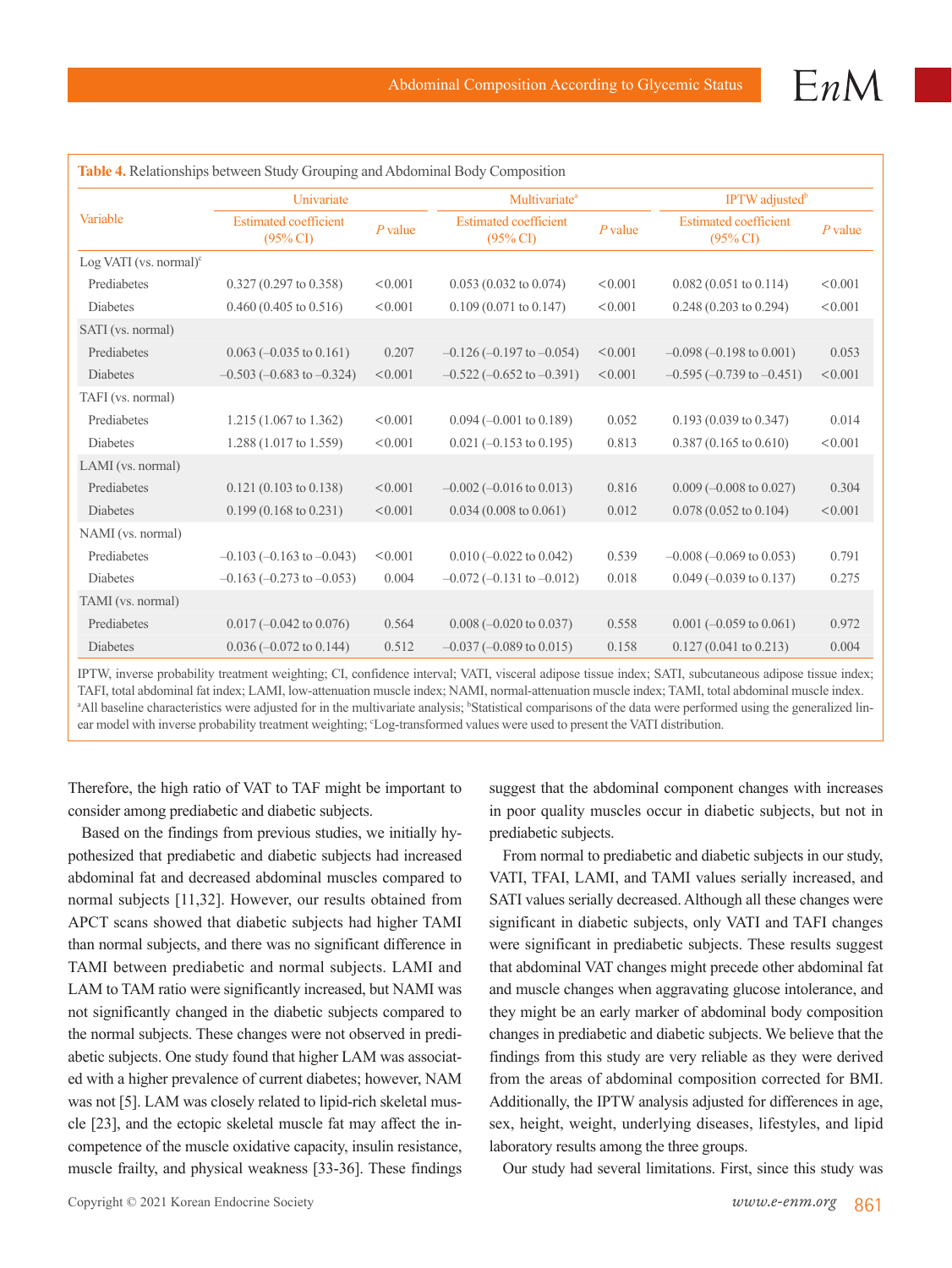| Variable                         | Univariate                                  |           | Multivariate <sup>a</sup>                  |           | IPTW adjusted <sup>b</sup>                 |           |
|----------------------------------|---------------------------------------------|-----------|--------------------------------------------|-----------|--------------------------------------------|-----------|
|                                  | <b>Estimated coefficient</b><br>$(95\%$ CI) | $P$ value | <b>Estimated coefficient</b><br>$(95\%$ CI | $P$ value | <b>Estimated coefficient</b><br>$(95\%$ CI | $P$ value |
| Log VATI (vs. normal) $\text{°}$ |                                             |           |                                            |           |                                            |           |
| Prediabetes                      | $0.327(0.297 \text{ to } 0.358)$            | < 0.001   | $0.053(0.032 \text{ to } 0.074)$           | < 0.001   | $0.082(0.051 \text{ to } 0.114)$           | < 0.001   |
| <b>Diabetes</b>                  | $0.460(0.405 \text{ to } 0.516)$            | < 0.001   | $0.109(0.071 \text{ to } 0.147)$           | < 0.001   | $0.248(0.203 \text{ to } 0.294)$           | < 0.001   |
| SATI (vs. normal)                |                                             |           |                                            |           |                                            |           |
| Prediabetes                      | $0.063 (-0.035 \text{ to } 0.161)$          | 0.207     | $-0.126(-0.197$ to $-0.054$ )              | < 0.001   | $-0.098 (-0.198 \text{ to } 0.001)$        | 0.053     |
| <b>Diabetes</b>                  | $-0.503$ ( $-0.683$ to $-0.324$ )           | < 0.001   | $-0.522$ ( $-0.652$ to $-0.391$ )          | < 0.001   | $-0.595(-0.739$ to $-0.451$ )              | < 0.001   |
| TAFI (vs. normal)                |                                             |           |                                            |           |                                            |           |
| Prediabetes                      | 1.215 (1.067 to 1.362)                      | < 0.001   | $0.094 (-0.001$ to $0.189$ )               | 0.052     | $0.193(0.039 \text{ to } 0.347)$           | 0.014     |
| <b>Diabetes</b>                  | 1.288 (1.017 to 1.559)                      | < 0.001   | $0.021 (-0.153$ to $0.195)$                | 0.813     | $0.387(0.165 \text{ to } 0.610)$           | < 0.001   |
| LAMI (vs. normal)                |                                             |           |                                            |           |                                            |           |
| Prediabetes                      | $0.121(0.103 \text{ to } 0.138)$            | < 0.001   | $-0.002$ ( $-0.016$ to 0.013)              | 0.816     | $0.009$ (-0.008 to 0.027)                  | 0.304     |
| Diabetes                         | $0.199(0.168 \text{ to } 0.231)$            | < 0.001   | $0.034(0.008 \text{ to } 0.061)$           | 0.012     | $0.078(0.052 \text{ to } 0.104)$           | < 0.001   |
| NAMI (vs. normal)                |                                             |           |                                            |           |                                            |           |
| Prediabetes                      | $-0.103$ ( $-0.163$ to $-0.043$ )           | < 0.001   | $0.010 (-0.022 \text{ to } 0.042)$         | 0.539     | $-0.008 (-0.069 \text{ to } 0.053)$        | 0.791     |
| <b>Diabetes</b>                  | $-0.163$ ( $-0.273$ to $-0.053$ )           | 0.004     | $-0.072$ ( $-0.131$ to $-0.012$ )          | 0.018     | $0.049 (-0.039$ to $0.137)$                | 0.275     |
| TAMI (vs. normal)                |                                             |           |                                            |           |                                            |           |
| Prediabetes                      | $0.017 (-0.042 \text{ to } 0.076)$          | 0.564     | $0.008 (-0.020 \text{ to } 0.037)$         | 0.558     | $0.001 (-0.059 \text{ to } 0.061)$         | 0.972     |
| <b>Diabetes</b>                  | $0.036 (-0.072 \text{ to } 0.144)$          | 0.512     | $-0.037 (-0.089 \text{ to } 0.015)$        | 0.158     | $0.127(0.041 \text{ to } 0.213)$           | 0.004     |

IPTW, inverse probability treatment weighting; CI, confidence interval; VATI, visceral adipose tissue index; SATI, subcutaneous adipose tissue index; TAFI, total abdominal fat index; LAMI, low-attenuation muscle index; NAMI, normal-attenuation muscle index; TAMI, total abdominal muscle index. <sup>a</sup>All baseline characteristics were adjusted for in the multivariate analysis; <sup>b</sup>Statistical comparisons of the data were performed using the generalized linear model with inverse probability treatment weighting; 'Log-transformed values were used to present the VATI distribution.

Therefore, the high ratio of VAT to TAF might be important to consider among prediabetic and diabetic subjects.

Based on the findings from previous studies, we initially hypothesized that prediabetic and diabetic subjects had increased abdominal fat and decreased abdominal muscles compared to normal subjects [11,32]. However, our results obtained from APCT scans showed that diabetic subjects had higher TAMI than normal subjects, and there was no significant difference in TAMI between prediabetic and normal subjects. LAMI and LAM to TAM ratio were significantly increased, but NAMI was not significantly changed in the diabetic subjects compared to the normal subjects. These changes were not observed in prediabetic subjects. One study found that higher LAM was associated with a higher prevalence of current diabetes; however, NAM was not [5]. LAM was closely related to lipid-rich skeletal muscle [23], and the ectopic skeletal muscle fat may affect the incompetence of the muscle oxidative capacity, insulin resistance, muscle frailty, and physical weakness [33-36]. These findings suggest that the abdominal component changes with increases in poor quality muscles occur in diabetic subjects, but not in prediabetic subjects.

From normal to prediabetic and diabetic subjects in our study, VATI, TFAI, LAMI, and TAMI values serially increased, and SATI values serially decreased. Although all these changes were significant in diabetic subjects, only VATI and TAFI changes were significant in prediabetic subjects. These results suggest that abdominal VAT changes might precede other abdominal fat and muscle changes when aggravating glucose intolerance, and they might be an early marker of abdominal body composition changes in prediabetic and diabetic subjects. We believe that the findings from this study are very reliable as they were derived from the areas of abdominal composition corrected for BMI. Additionally, the IPTW analysis adjusted for differences in age, sex, height, weight, underlying diseases, lifestyles, and lipid laboratory results among the three groups.

Our study had several limitations. First, since this study was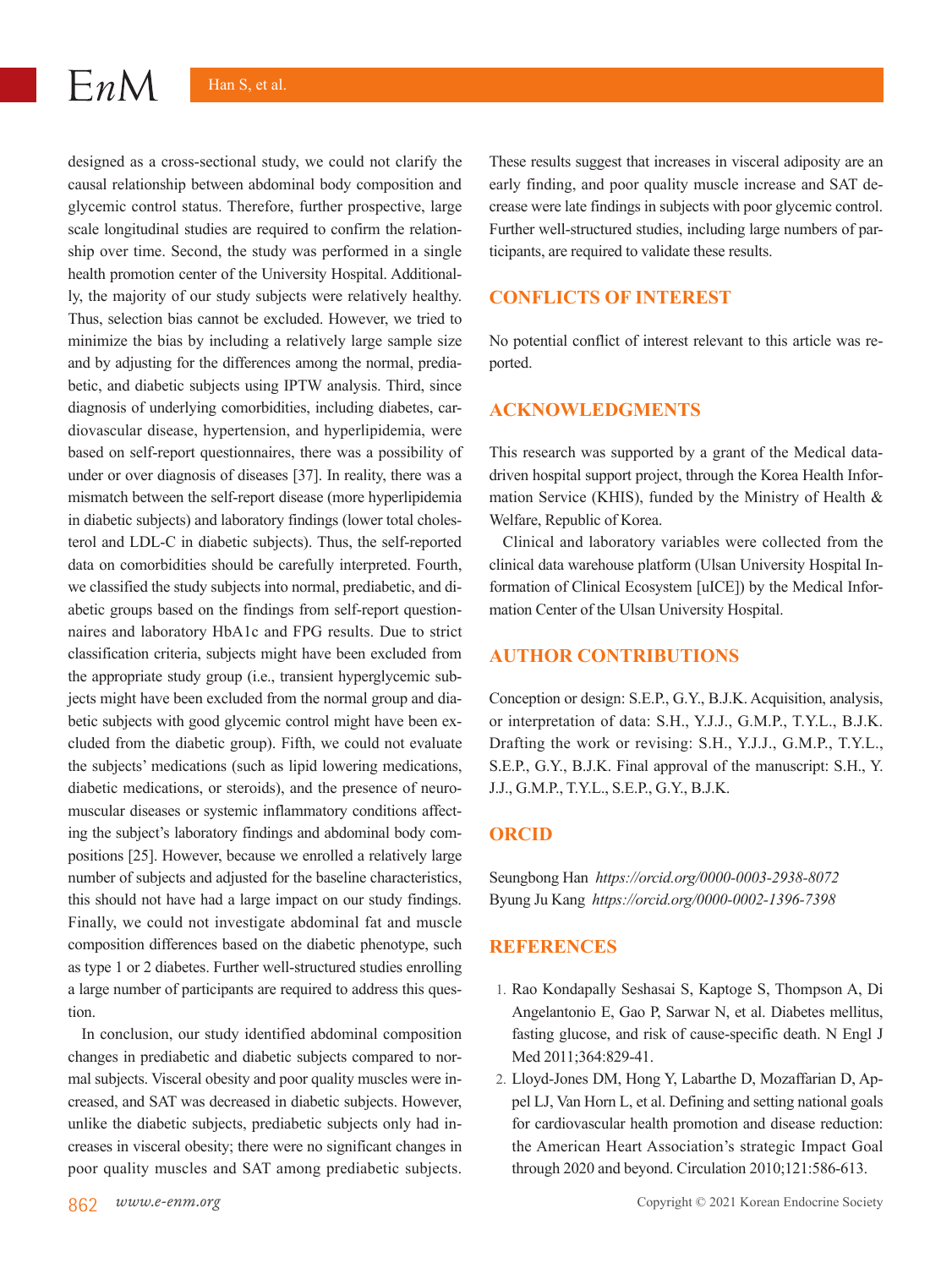#### $EnM$ Han S, et al.

designed as a cross-sectional study, we could not clarify the causal relationship between abdominal body composition and glycemic control status. Therefore, further prospective, large scale longitudinal studies are required to confirm the relationship over time. Second, the study was performed in a single health promotion center of the University Hospital. Additionally, the majority of our study subjects were relatively healthy. Thus, selection bias cannot be excluded. However, we tried to minimize the bias by including a relatively large sample size and by adjusting for the differences among the normal, prediabetic, and diabetic subjects using IPTW analysis. Third, since diagnosis of underlying comorbidities, including diabetes, cardiovascular disease, hypertension, and hyperlipidemia, were based on self-report questionnaires, there was a possibility of under or over diagnosis of diseases [37]. In reality, there was a mismatch between the self-report disease (more hyperlipidemia in diabetic subjects) and laboratory findings (lower total cholesterol and LDL-C in diabetic subjects). Thus, the self-reported data on comorbidities should be carefully interpreted. Fourth, we classified the study subjects into normal, prediabetic, and diabetic groups based on the findings from self-report questionnaires and laboratory HbA1c and FPG results. Due to strict classification criteria, subjects might have been excluded from the appropriate study group (i.e., transient hyperglycemic subjects might have been excluded from the normal group and diabetic subjects with good glycemic control might have been excluded from the diabetic group). Fifth, we could not evaluate the subjects' medications (such as lipid lowering medications, diabetic medications, or steroids), and the presence of neuromuscular diseases or systemic inflammatory conditions affecting the subject's laboratory findings and abdominal body compositions [25]. However, because we enrolled a relatively large number of subjects and adjusted for the baseline characteristics, this should not have had a large impact on our study findings. Finally, we could not investigate abdominal fat and muscle composition differences based on the diabetic phenotype, such as type 1 or 2 diabetes. Further well-structured studies enrolling a large number of participants are required to address this question.

In conclusion, our study identified abdominal composition changes in prediabetic and diabetic subjects compared to normal subjects. Visceral obesity and poor quality muscles were increased, and SAT was decreased in diabetic subjects. However, unlike the diabetic subjects, prediabetic subjects only had increases in visceral obesity; there were no significant changes in poor quality muscles and SAT among prediabetic subjects.

These results suggest that increases in visceral adiposity are an early finding, and poor quality muscle increase and SAT decrease were late findings in subjects with poor glycemic control. Further well-structured studies, including large numbers of participants, are required to validate these results.

## **CONFLICTS OF INTEREST**

No potential conflict of interest relevant to this article was reported.

#### **ACKNOWLEDGMENTS**

This research was supported by a grant of the Medical datadriven hospital support project, through the Korea Health Information Service (KHIS), funded by the Ministry of Health & Welfare, Republic of Korea.

Clinical and laboratory variables were collected from the clinical data warehouse platform (Ulsan University Hospital Information of Clinical Ecosystem [uICE]) by the Medical Information Center of the Ulsan University Hospital.

## **AUTHOR CONTRIBUTIONS**

Conception or design: S.E.P., G.Y., B.J.K. Acquisition, analysis, or interpretation of data: S.H., Y.J.J., G.M.P., T.Y.L., B.J.K. Drafting the work or revising: S.H., Y.J.J., G.M.P., T.Y.L., S.E.P., G.Y., B.J.K. Final approval of the manuscript: S.H., Y. J.J., G.M.P., T.Y.L., S.E.P., G.Y., B.J.K.

## **ORCID**

Seungbong Han *https://orcid.org/0000-0003-2938-8072* Byung Ju Kang *https://orcid.org/0000-0002-1396-7398*

#### **REFERENCES**

- 1. Rao Kondapally Seshasai S, Kaptoge S, Thompson A, Di Angelantonio E, Gao P, Sarwar N, et al. Diabetes mellitus, fasting glucose, and risk of cause-specific death. N Engl J Med 2011;364:829-41.
- 2. Lloyd-Jones DM, Hong Y, Labarthe D, Mozaffarian D, Appel LJ, Van Horn L, et al. Defining and setting national goals for cardiovascular health promotion and disease reduction: the American Heart Association's strategic Impact Goal through 2020 and beyond. Circulation 2010;121:586-613.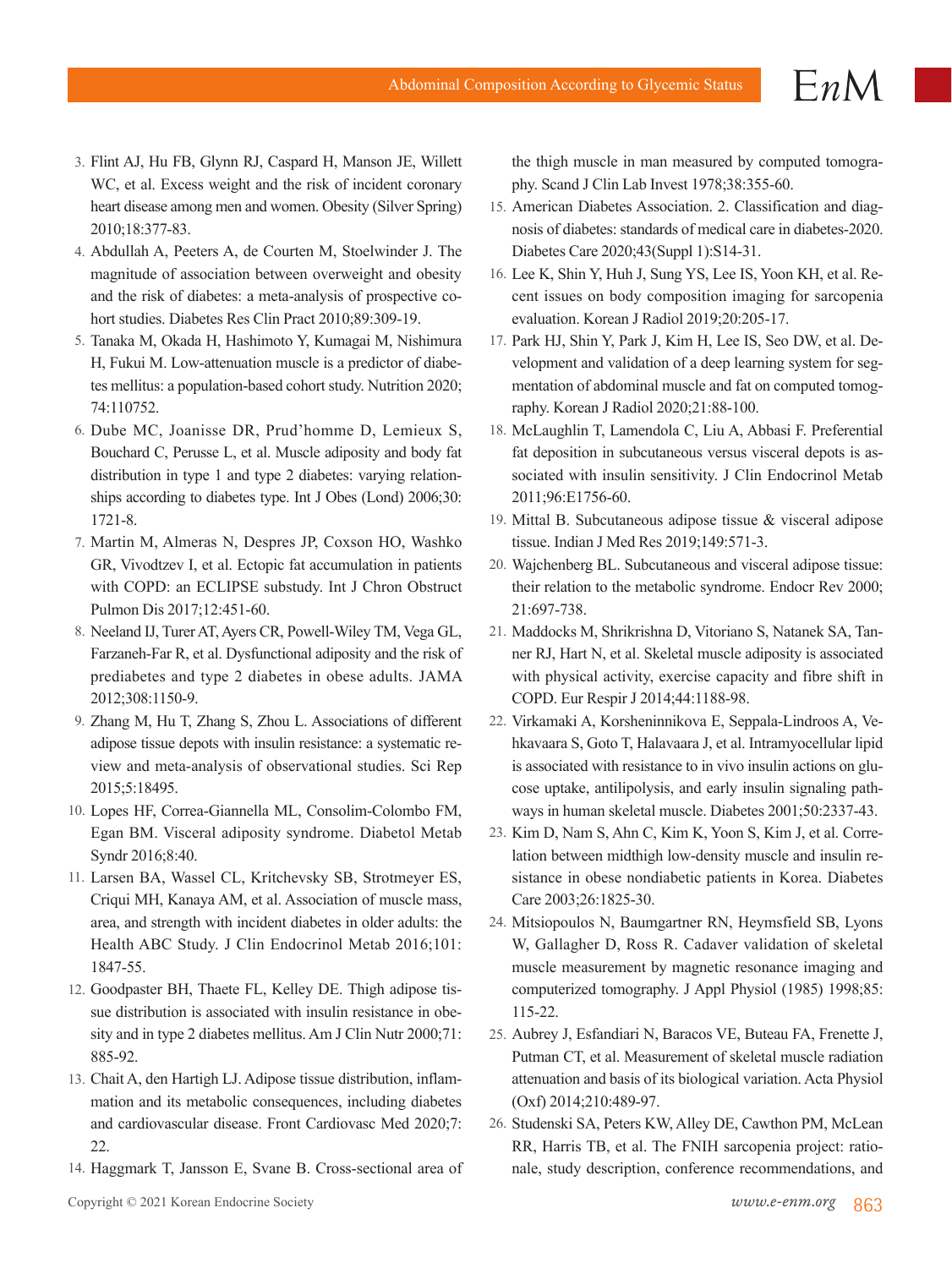- 3. Flint AJ, Hu FB, Glynn RJ, Caspard H, Manson JE, Willett WC, et al. Excess weight and the risk of incident coronary heart disease among men and women. Obesity (Silver Spring) 2010;18:377-83.
- 4. Abdullah A, Peeters A, de Courten M, Stoelwinder J. The magnitude of association between overweight and obesity and the risk of diabetes: a meta-analysis of prospective cohort studies. Diabetes Res Clin Pract 2010;89:309-19.
- 5. Tanaka M, Okada H, Hashimoto Y, Kumagai M, Nishimura H, Fukui M. Low-attenuation muscle is a predictor of diabetes mellitus: a population-based cohort study. Nutrition 2020; 74:110752.
- 6. Dube MC, Joanisse DR, Prud'homme D, Lemieux S, Bouchard C, Perusse L, et al. Muscle adiposity and body fat distribution in type 1 and type 2 diabetes: varying relationships according to diabetes type. Int J Obes (Lond) 2006;30: 1721-8.
- 7. Martin M, Almeras N, Despres JP, Coxson HO, Washko GR, Vivodtzev I, et al. Ectopic fat accumulation in patients with COPD: an ECLIPSE substudy. Int J Chron Obstruct Pulmon Dis 2017;12:451-60.
- 8. Neeland IJ, Turer AT, Ayers CR, Powell-Wiley TM, Vega GL, Farzaneh-Far R, et al. Dysfunctional adiposity and the risk of prediabetes and type 2 diabetes in obese adults. JAMA 2012;308:1150-9.
- 9. Zhang M, Hu T, Zhang S, Zhou L. Associations of different adipose tissue depots with insulin resistance: a systematic review and meta-analysis of observational studies. Sci Rep 2015;5:18495.
- 10. Lopes HF, Correa-Giannella ML, Consolim-Colombo FM, Egan BM. Visceral adiposity syndrome. Diabetol Metab Syndr 2016;8:40.
- 11. Larsen BA, Wassel CL, Kritchevsky SB, Strotmeyer ES, Criqui MH, Kanaya AM, et al. Association of muscle mass, area, and strength with incident diabetes in older adults: the Health ABC Study. J Clin Endocrinol Metab 2016;101: 1847-55.
- 12. Goodpaster BH, Thaete FL, Kelley DE. Thigh adipose tissue distribution is associated with insulin resistance in obesity and in type 2 diabetes mellitus. Am J Clin Nutr 2000;71: 885-92.
- 13. Chait A, den Hartigh LJ. Adipose tissue distribution, inflammation and its metabolic consequences, including diabetes and cardiovascular disease. Front Cardiovasc Med 2020;7: 22.
- 14. Haggmark T, Jansson E, Svane B. Cross-sectional area of

the thigh muscle in man measured by computed tomography. Scand J Clin Lab Invest 1978;38:355-60.

 $EnM$ 

- 15. American Diabetes Association. 2. Classification and diagnosis of diabetes: standards of medical care in diabetes-2020. Diabetes Care 2020;43(Suppl 1):S14-31.
- 16. Lee K, Shin Y, Huh J, Sung YS, Lee IS, Yoon KH, et al. Recent issues on body composition imaging for sarcopenia evaluation. Korean J Radiol 2019;20:205-17.
- 17. Park HJ, Shin Y, Park J, Kim H, Lee IS, Seo DW, et al. Development and validation of a deep learning system for segmentation of abdominal muscle and fat on computed tomography. Korean J Radiol 2020;21:88-100.
- 18. McLaughlin T, Lamendola C, Liu A, Abbasi F. Preferential fat deposition in subcutaneous versus visceral depots is associated with insulin sensitivity. J Clin Endocrinol Metab 2011;96:E1756-60.
- 19. Mittal B. Subcutaneous adipose tissue & visceral adipose tissue. Indian J Med Res 2019;149:571-3.
- 20. Wajchenberg BL. Subcutaneous and visceral adipose tissue: their relation to the metabolic syndrome. Endocr Rev 2000; 21:697-738.
- 21. Maddocks M, Shrikrishna D, Vitoriano S, Natanek SA, Tanner RJ, Hart N, et al. Skeletal muscle adiposity is associated with physical activity, exercise capacity and fibre shift in COPD. Eur Respir J 2014;44:1188-98.
- 22. Virkamaki A, Korsheninnikova E, Seppala-Lindroos A, Vehkavaara S, Goto T, Halavaara J, et al. Intramyocellular lipid is associated with resistance to in vivo insulin actions on glucose uptake, antilipolysis, and early insulin signaling pathways in human skeletal muscle. Diabetes 2001;50:2337-43.
- 23. Kim D, Nam S, Ahn C, Kim K, Yoon S, Kim J, et al. Correlation between midthigh low-density muscle and insulin resistance in obese nondiabetic patients in Korea. Diabetes Care 2003;26:1825-30.
- 24. Mitsiopoulos N, Baumgartner RN, Heymsfield SB, Lyons W, Gallagher D, Ross R. Cadaver validation of skeletal muscle measurement by magnetic resonance imaging and computerized tomography. J Appl Physiol (1985) 1998;85: 115-22.
- 25. Aubrey J, Esfandiari N, Baracos VE, Buteau FA, Frenette J, Putman CT, et al. Measurement of skeletal muscle radiation attenuation and basis of its biological variation. Acta Physiol (Oxf) 2014;210:489-97.
- 26. Studenski SA, Peters KW, Alley DE, Cawthon PM, McLean RR, Harris TB, et al. The FNIH sarcopenia project: rationale, study description, conference recommendations, and